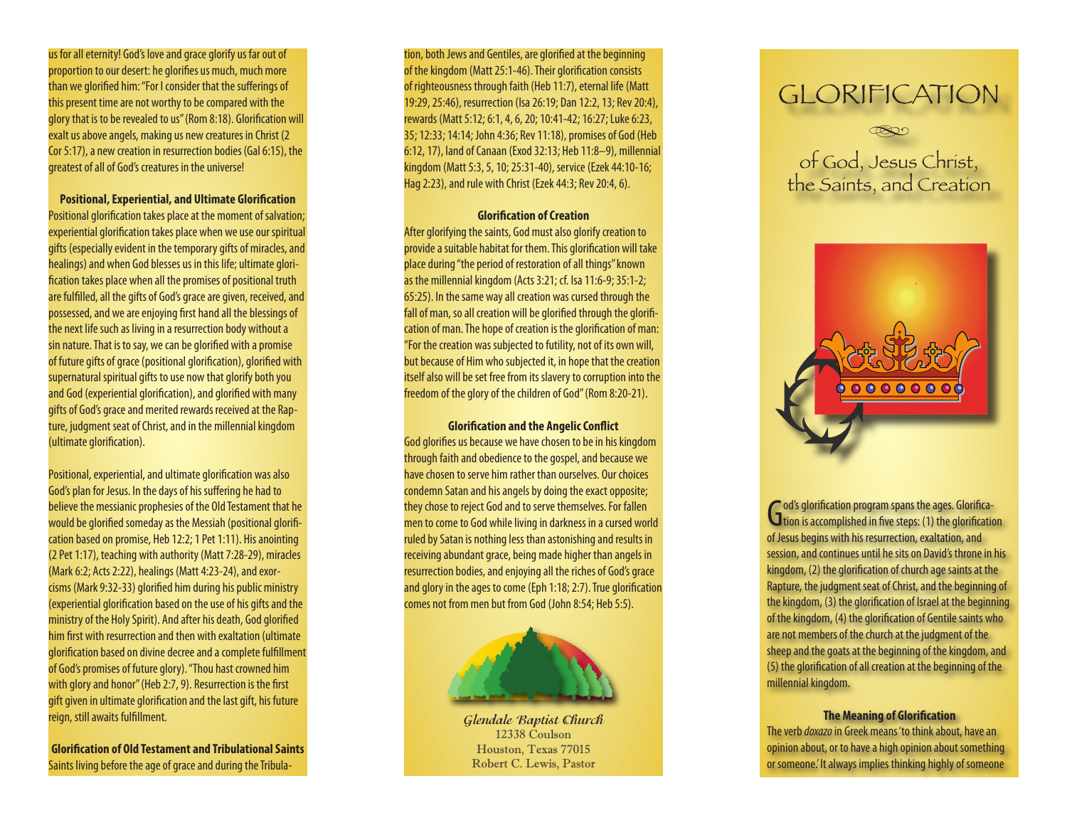us for all eternity! God's love and grace glorify us far out of proportion to our desert: he glorifies us much, much more than we glorified him: "For I consider that the sufferings of this present time are not worthy to be compared with the glory that is to be revealed to us" (Rom 8:18). Glorification will exalt us above angels, making us new creatures in Christ (2 Cor 5:17), a new creation in resurrection bodies (Gal 6:15), the greatest of all of God's creatures in the universe!

**Positional, Experiential, and Ultimate Glorification**

Positional glorification takes place at the moment of salvation; experiential glorification takes place when we use our spiritual gifts (especially evident in the temporary gifts of miracles, and healings) and when God blesses us in this life; ultimate glori fication takes place when all the promises of positional truth are fulfilled, all the gifts of God's grace are given, received, and possessed, and we are enjoying first hand all the blessings of the next life such as living in a resurrection body without a sin nature. That is to say, we can be glorified with a promise of future gifts of grace (positional glorification), glorified with supernatural spiritual gifts to use now that glorify both you and God (experiential glorification), and glorified with many gifts of God's grace and merited rewards received at the Rap ture, judgment seat of Christ, and in the millennial kingdom (ultimate glorification).

Positional, experiential, and ultimate glorification was also God's plan for Jesus. In the days of his suffering he had to believe the messianic prophesies of the Old Testament that he would be glorified someday as the Messiah (positional glorifi cation based on promise, Heb 12:2; 1 Pet 1:11). His anointing (2 Pet 1:17), teaching with authority (Matt 7:28-29), miracles (Mark 6:2; Acts 2:22), healings (Matt 4:23-24), and exor cisms (Mark 9:32-33) glorified him during his public ministry (experiential glorification based on the use of his gifts and the ministry of the Holy Spirit). And after his death, God glorified him first with resurrection and then with exaltation (ultimate glorification based on divine decree and a complete fulfillment of God's promises of future glory). "Thou hast crowned him with glory and honor" (Heb 2:7, 9). Resurrection is the first gift given in ultimate glorification and the last gift, his future reign, still awaits fulfillment.

**Glorification of Old Testament and Tribulational Saints** Saints living before the age of grace and during the Tribula -

tion, both Jews and Gentiles, are glorified at the beginning of the kingdom (Matt 25:1-46). Their glorification consists of righteousness through faith (Heb 11:7), eternal life (Matt 19:29, 25:46), resurrection (Isa 26:19; Dan 12:2, 13; Rev 20:4), rewards (Matt 5:12; 6:1, 4, 6, 20; 10:41-42; 16:27; Luke 6:23, 35; 12:33; 14:14; John 4:36; Rev 11:18), promises of God (Heb 6:12, 17), land of Canaan (Exod 32:13; Heb 11:8–9), millennial kingdom (Matt 5:3, 5, 10; 25:31-40), service (Ezek 44:10-16; Hag 2:23), and rule with Christ (Ezek 44:3; Rev 20:4, 6).

# **Glorification of Creation**

After glorifying the saints, God must also glorify creation to provide a suitable habitat for them. This glorification will take place during "the period of restoration of all things" known as the millennial kingdom (Acts 3:21; cf. Isa 11:6-9; 35:1-2; 65:25). In the same way all creation was cursed through the fall of man, so all creation will be glorified through the glorifi cation of man. The hope of creation is the glorification of man: "For the creation was subjected to futility, not of its own will, but because of Him who subjected it, in hope that the creation itself also will be set free from its slavery to corruption into the freedom of the glory of the children of God" (Rom 8:20-21).

**Glorification and the Angelic Conflict** God glorifies us because we have chosen to be in his kingdom through faith and obedience to the gospel, and because we have chosen to serve him rather than ourselves. Our choices condemn Satan and his angels by doing the exact opposite; they chose to reject God and to serve themselves. For fallen men to come to God while living in darkness in a cursed world ruled by Satan is nothing less than astonishing and results in receiving abundant grace, being made higher than angels in resurrection bodies, and enjoying all the riches of God's grace and glory in the ages to come (Eph 1:18; 2:7). True glorification comes not from men but from God (John 8:54; Heb 5:5).



**Glendale Baptist Church** 12338 Coulson Houston, Texas 77015 Robert C. Lewis, Pastor

# GLORIFICATION



of God, Jesus Christ, the Saints, and Creation



God's glorification program spans the ages. Glorification<br>
tion is accomplished in five steps: (1) the glorification od's glorification program spans the ages. Glorificaof Jesus begins with his resurrection, exaltation, and session, and continues until he sits on David's throne in his kingdom, (2) the glorification of church age saints at the Rapture, the judgment seat of Christ, and the beginning of the kingdom, (3) the glorification of Israel at the beginning of the kingdom, (4) the glorification of Gentile saints who are not members of the church at the judgment of the sheep and the goats at the beginning of the kingdom, and (5) the glorification of all creation at the beginning of the millennial kingdom.

# **The Meaning of Glorification**

The verb *doxazo* in Greek means 'to think about, have an opinion about, or to have a high opinion about something or someone.' It always implies thinking highly of someone